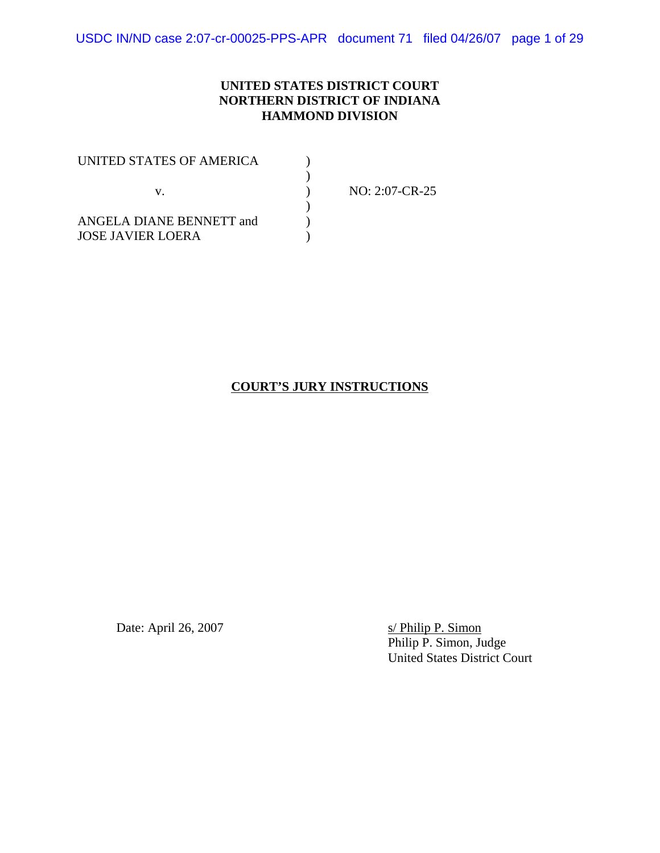USDC IN/ND case 2:07-cr-00025-PPS-APR document 71 filed 04/26/07 page 1 of 29

#### **UNITED STATES DISTRICT COURT NORTHERN DISTRICT OF INDIANA HAMMOND DIVISION**

| UNITED STATES OF AMERICA |                |
|--------------------------|----------------|
|                          |                |
| ANGELA DIANE BENNETT and | NO: 2:07-CR-25 |
|                          |                |
| <b>JOSE JAVIER LOERA</b> |                |

### **COURT'S JURY INSTRUCTIONS**

Date: April 26, 2007 s/ Philip P. Simon

Philip P. Simon, Judge United States District Court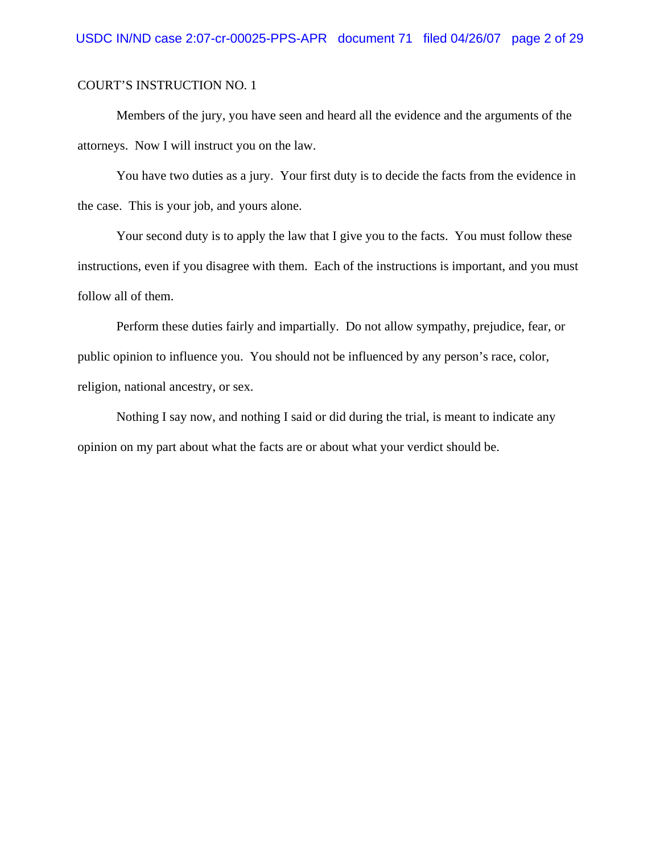Members of the jury, you have seen and heard all the evidence and the arguments of the attorneys. Now I will instruct you on the law.

You have two duties as a jury. Your first duty is to decide the facts from the evidence in the case. This is your job, and yours alone.

Your second duty is to apply the law that I give you to the facts. You must follow these instructions, even if you disagree with them. Each of the instructions is important, and you must follow all of them.

Perform these duties fairly and impartially. Do not allow sympathy, prejudice, fear, or public opinion to influence you. You should not be influenced by any person's race, color, religion, national ancestry, or sex.

Nothing I say now, and nothing I said or did during the trial, is meant to indicate any opinion on my part about what the facts are or about what your verdict should be.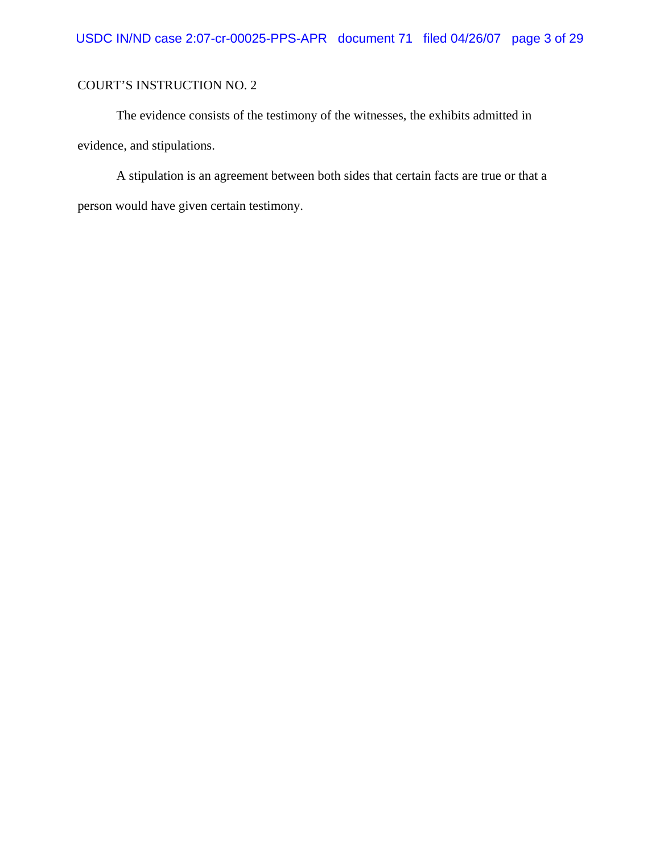The evidence consists of the testimony of the witnesses, the exhibits admitted in evidence, and stipulations.

A stipulation is an agreement between both sides that certain facts are true or that a person would have given certain testimony.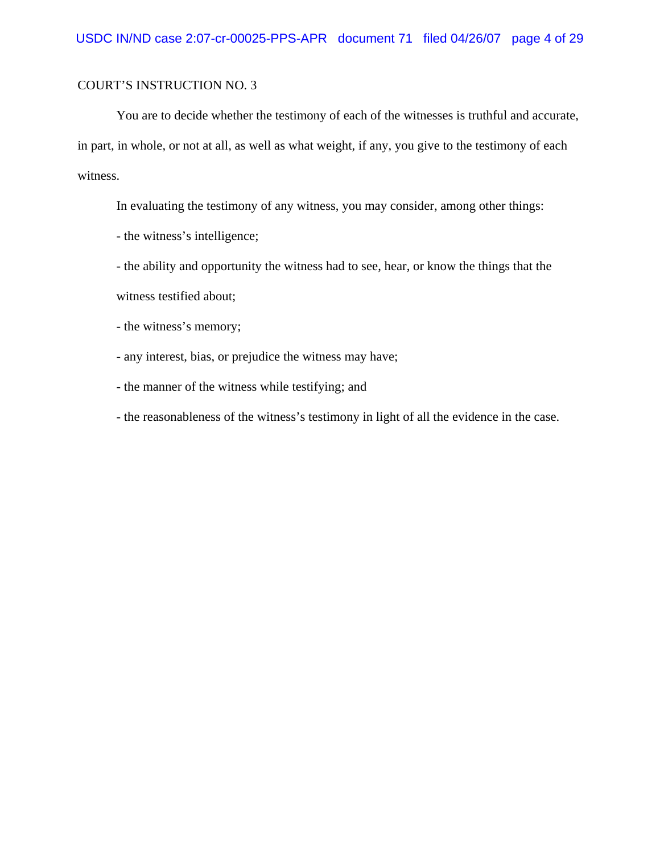You are to decide whether the testimony of each of the witnesses is truthful and accurate, in part, in whole, or not at all, as well as what weight, if any, you give to the testimony of each witness.

In evaluating the testimony of any witness, you may consider, among other things:

- the witness's intelligence;

- the ability and opportunity the witness had to see, hear, or know the things that the witness testified about;

- the witness's memory;

- any interest, bias, or prejudice the witness may have;

- the manner of the witness while testifying; and

- the reasonableness of the witness's testimony in light of all the evidence in the case.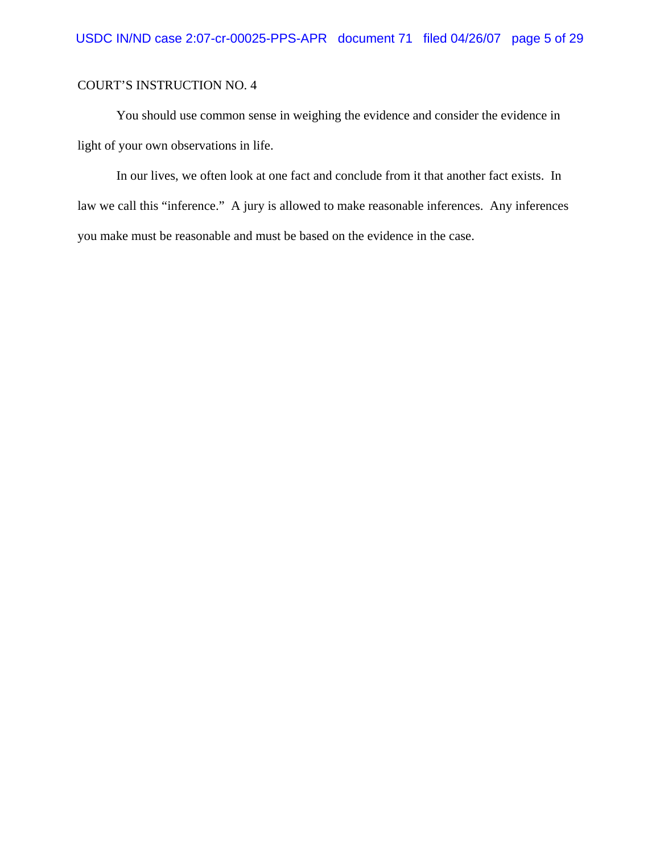You should use common sense in weighing the evidence and consider the evidence in light of your own observations in life.

In our lives, we often look at one fact and conclude from it that another fact exists. In law we call this "inference." A jury is allowed to make reasonable inferences. Any inferences you make must be reasonable and must be based on the evidence in the case.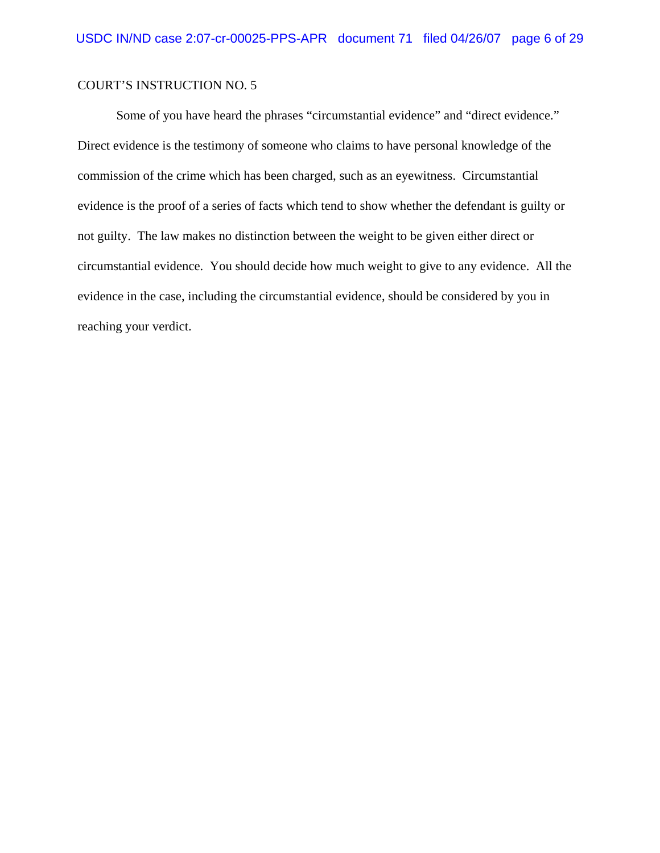Some of you have heard the phrases "circumstantial evidence" and "direct evidence." Direct evidence is the testimony of someone who claims to have personal knowledge of the commission of the crime which has been charged, such as an eyewitness. Circumstantial evidence is the proof of a series of facts which tend to show whether the defendant is guilty or not guilty. The law makes no distinction between the weight to be given either direct or circumstantial evidence. You should decide how much weight to give to any evidence. All the evidence in the case, including the circumstantial evidence, should be considered by you in reaching your verdict.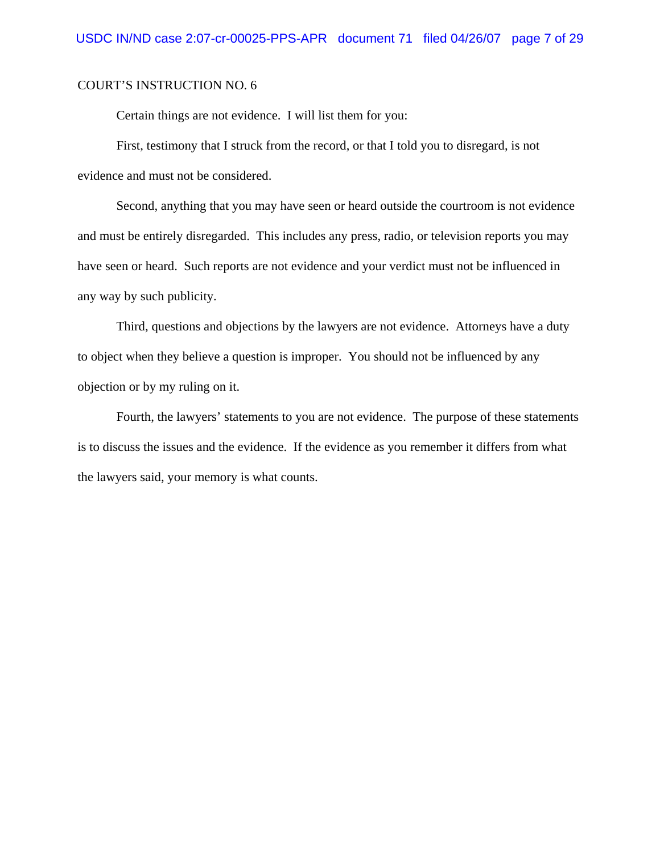Certain things are not evidence. I will list them for you:

First, testimony that I struck from the record, or that I told you to disregard, is not evidence and must not be considered.

Second, anything that you may have seen or heard outside the courtroom is not evidence and must be entirely disregarded. This includes any press, radio, or television reports you may have seen or heard. Such reports are not evidence and your verdict must not be influenced in any way by such publicity.

Third, questions and objections by the lawyers are not evidence. Attorneys have a duty to object when they believe a question is improper. You should not be influenced by any objection or by my ruling on it.

Fourth, the lawyers' statements to you are not evidence. The purpose of these statements is to discuss the issues and the evidence. If the evidence as you remember it differs from what the lawyers said, your memory is what counts.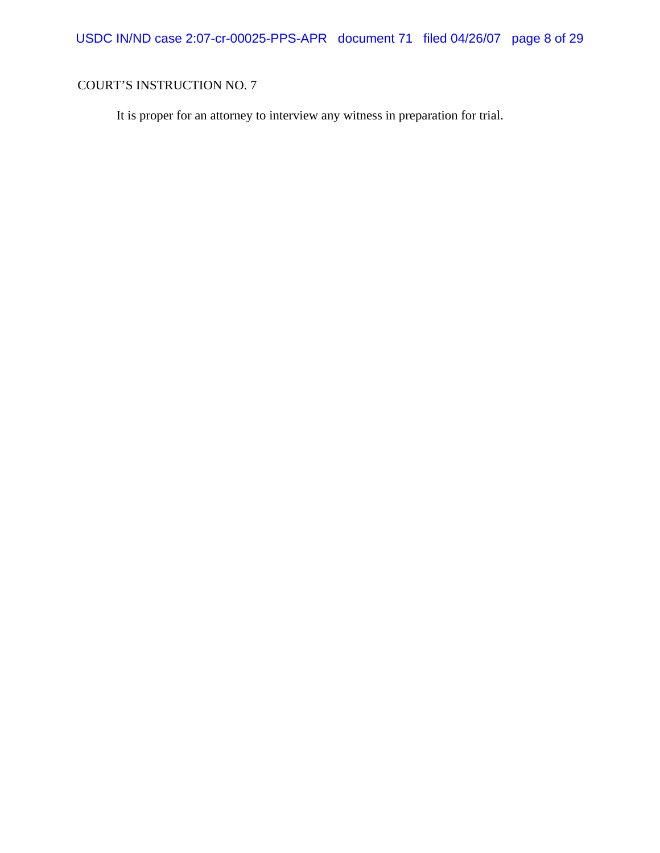USDC IN/ND case 2:07-cr-00025-PPS-APR document 71 filed 04/26/07 page 8 of 29

# COURT'S INSTRUCTION NO. 7

It is proper for an attorney to interview any witness in preparation for trial.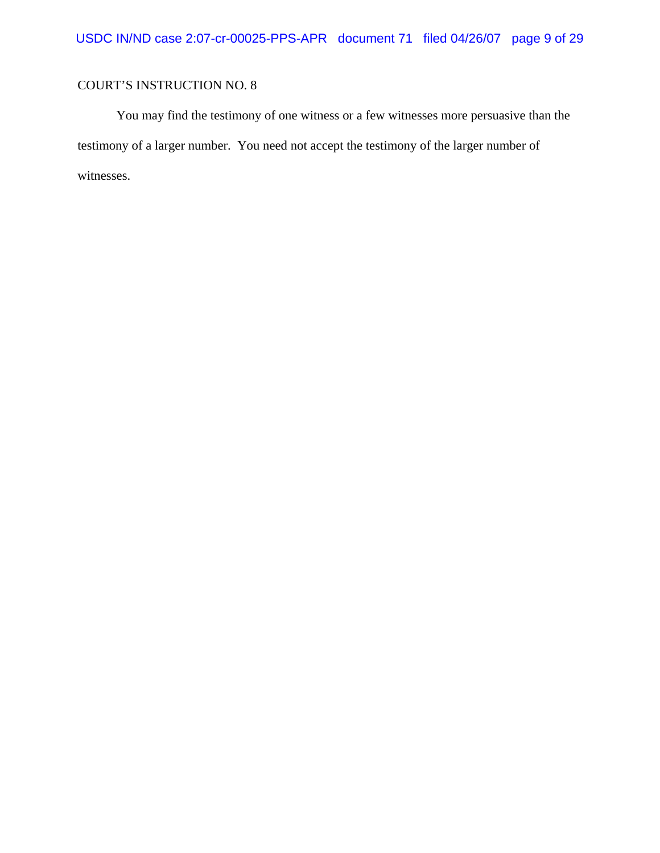You may find the testimony of one witness or a few witnesses more persuasive than the testimony of a larger number. You need not accept the testimony of the larger number of witnesses.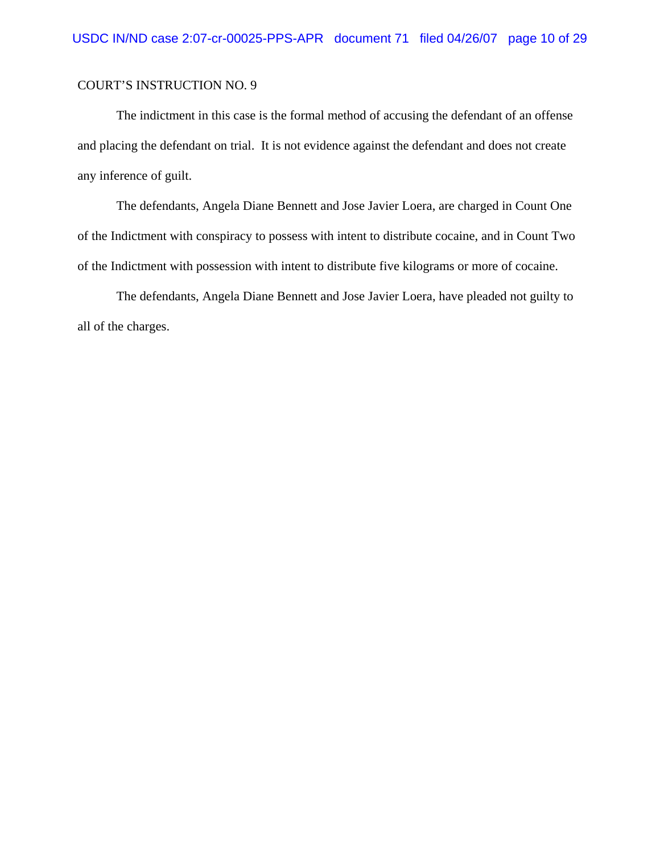The indictment in this case is the formal method of accusing the defendant of an offense and placing the defendant on trial. It is not evidence against the defendant and does not create any inference of guilt.

The defendants, Angela Diane Bennett and Jose Javier Loera, are charged in Count One of the Indictment with conspiracy to possess with intent to distribute cocaine, and in Count Two of the Indictment with possession with intent to distribute five kilograms or more of cocaine.

The defendants, Angela Diane Bennett and Jose Javier Loera, have pleaded not guilty to all of the charges.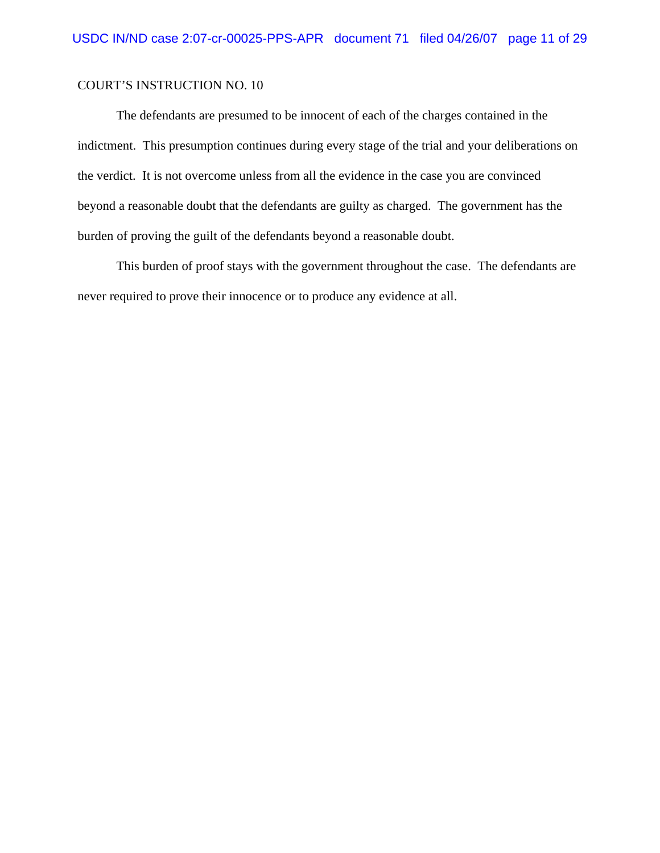The defendants are presumed to be innocent of each of the charges contained in the indictment. This presumption continues during every stage of the trial and your deliberations on the verdict. It is not overcome unless from all the evidence in the case you are convinced beyond a reasonable doubt that the defendants are guilty as charged. The government has the burden of proving the guilt of the defendants beyond a reasonable doubt.

This burden of proof stays with the government throughout the case. The defendants are never required to prove their innocence or to produce any evidence at all.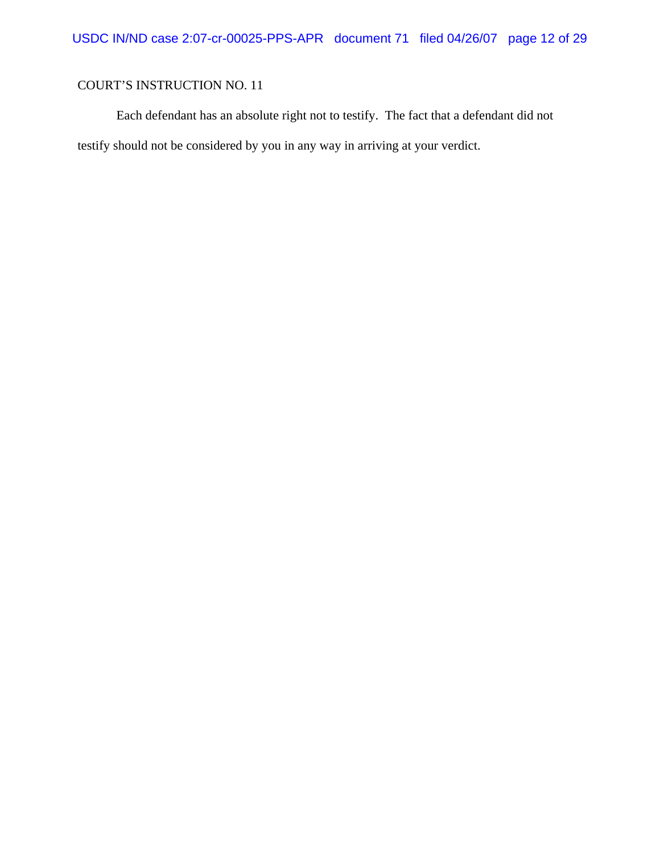Each defendant has an absolute right not to testify. The fact that a defendant did not testify should not be considered by you in any way in arriving at your verdict.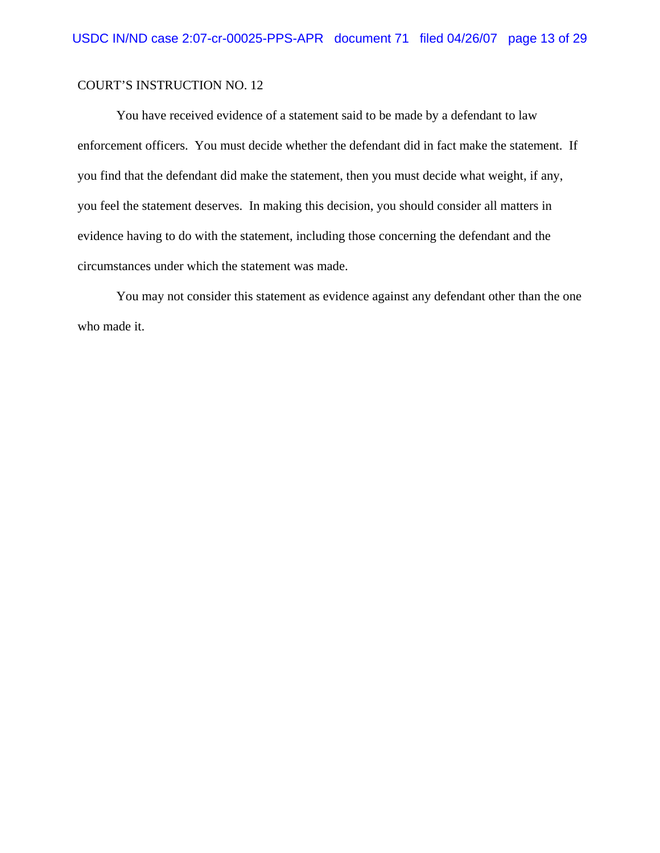You have received evidence of a statement said to be made by a defendant to law enforcement officers. You must decide whether the defendant did in fact make the statement. If you find that the defendant did make the statement, then you must decide what weight, if any, you feel the statement deserves. In making this decision, you should consider all matters in evidence having to do with the statement, including those concerning the defendant and the circumstances under which the statement was made.

You may not consider this statement as evidence against any defendant other than the one who made it.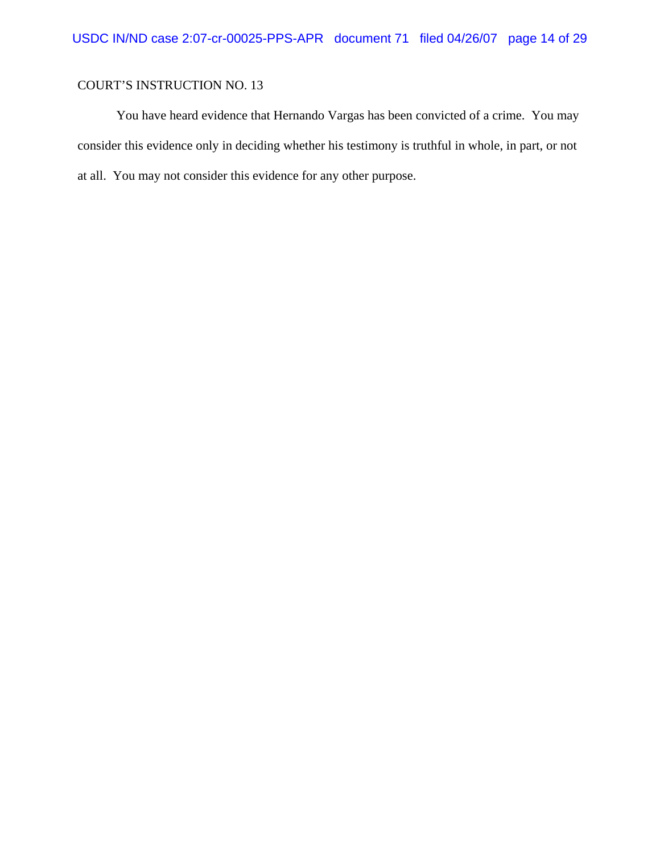You have heard evidence that Hernando Vargas has been convicted of a crime. You may consider this evidence only in deciding whether his testimony is truthful in whole, in part, or not at all. You may not consider this evidence for any other purpose.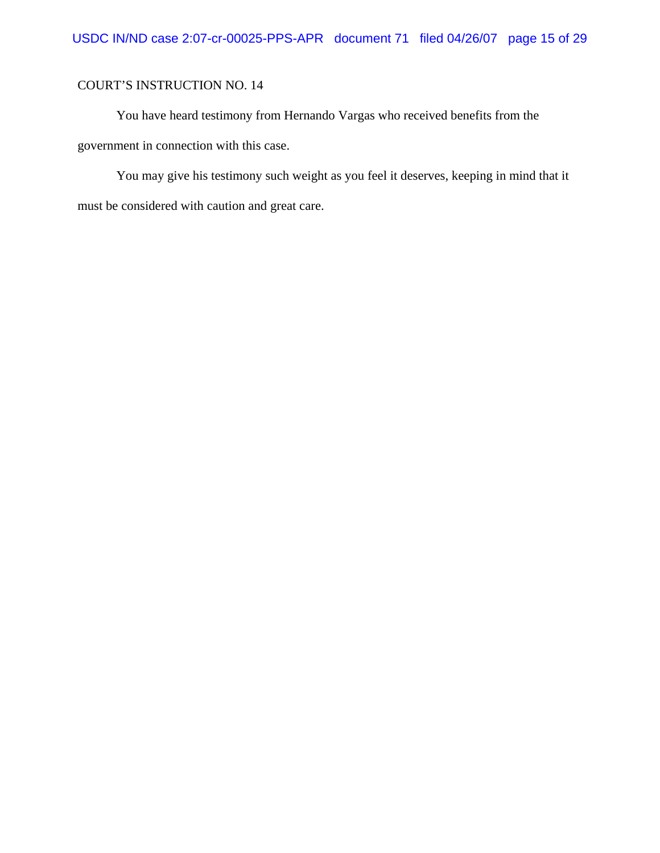You have heard testimony from Hernando Vargas who received benefits from the government in connection with this case.

You may give his testimony such weight as you feel it deserves, keeping in mind that it must be considered with caution and great care.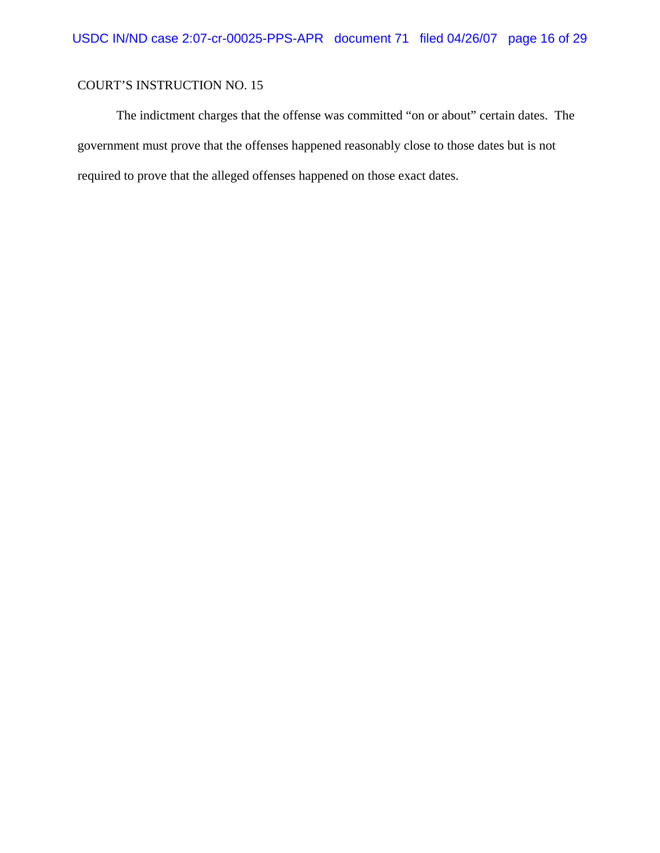The indictment charges that the offense was committed "on or about" certain dates. The government must prove that the offenses happened reasonably close to those dates but is not required to prove that the alleged offenses happened on those exact dates.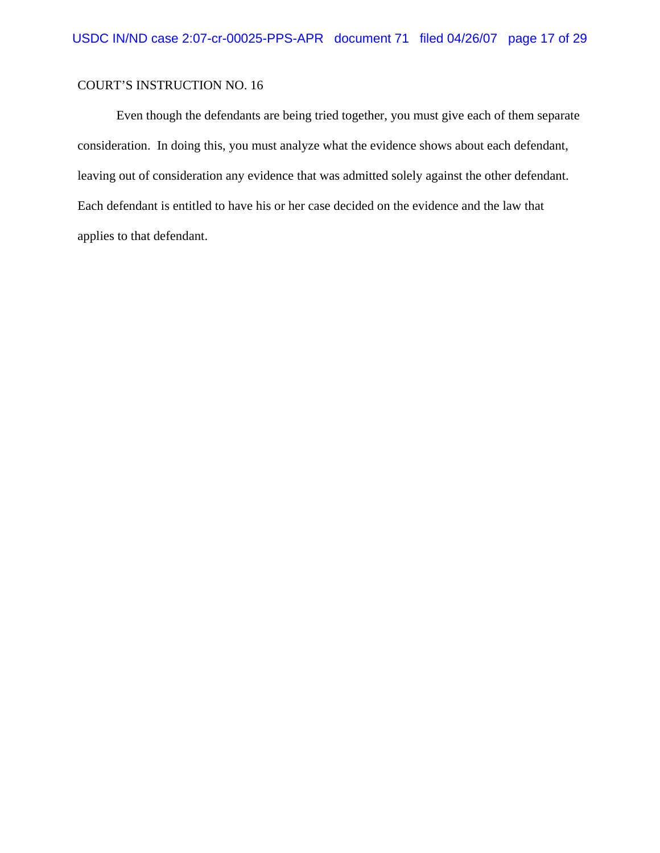Even though the defendants are being tried together, you must give each of them separate consideration. In doing this, you must analyze what the evidence shows about each defendant, leaving out of consideration any evidence that was admitted solely against the other defendant. Each defendant is entitled to have his or her case decided on the evidence and the law that applies to that defendant.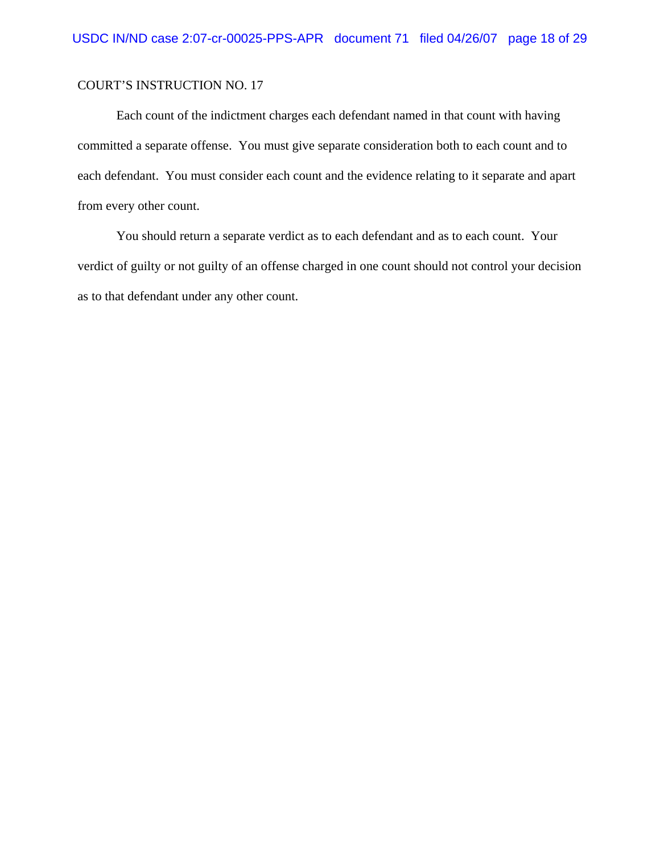Each count of the indictment charges each defendant named in that count with having committed a separate offense. You must give separate consideration both to each count and to each defendant. You must consider each count and the evidence relating to it separate and apart from every other count.

You should return a separate verdict as to each defendant and as to each count. Your verdict of guilty or not guilty of an offense charged in one count should not control your decision as to that defendant under any other count.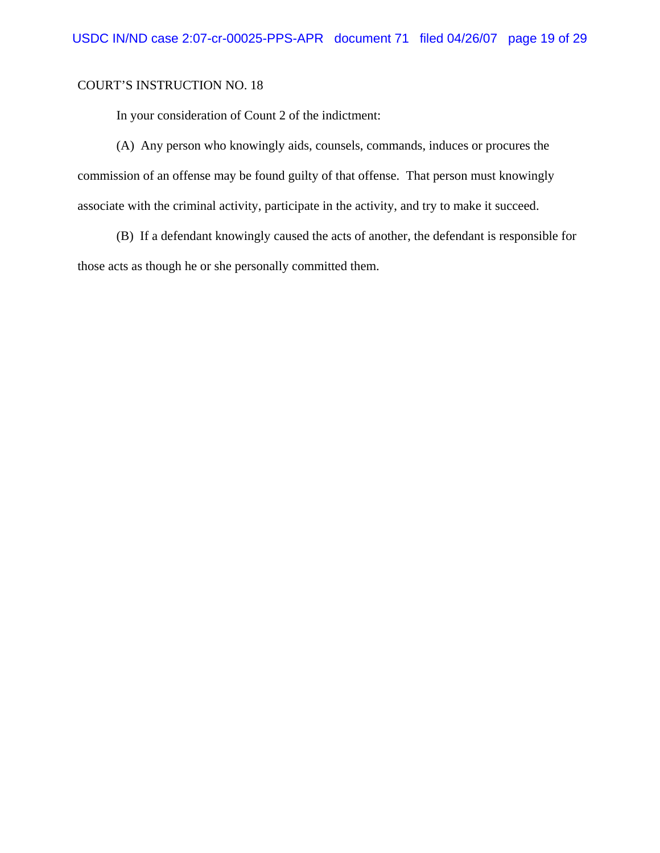In your consideration of Count 2 of the indictment:

(A) Any person who knowingly aids, counsels, commands, induces or procures the commission of an offense may be found guilty of that offense. That person must knowingly associate with the criminal activity, participate in the activity, and try to make it succeed.

(B) If a defendant knowingly caused the acts of another, the defendant is responsible for those acts as though he or she personally committed them.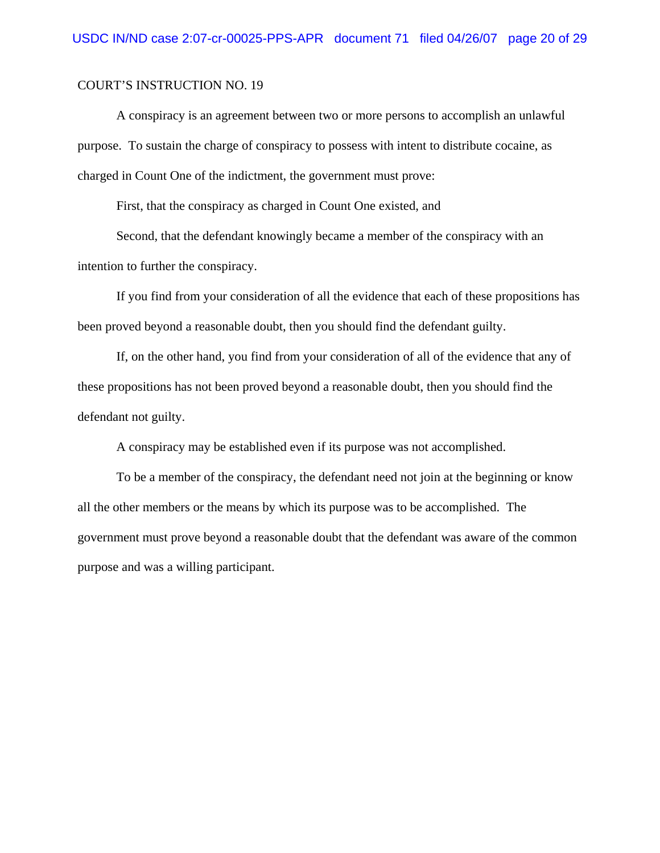A conspiracy is an agreement between two or more persons to accomplish an unlawful purpose. To sustain the charge of conspiracy to possess with intent to distribute cocaine, as charged in Count One of the indictment, the government must prove:

First, that the conspiracy as charged in Count One existed, and

Second, that the defendant knowingly became a member of the conspiracy with an intention to further the conspiracy.

If you find from your consideration of all the evidence that each of these propositions has been proved beyond a reasonable doubt, then you should find the defendant guilty.

If, on the other hand, you find from your consideration of all of the evidence that any of these propositions has not been proved beyond a reasonable doubt, then you should find the defendant not guilty.

A conspiracy may be established even if its purpose was not accomplished.

To be a member of the conspiracy, the defendant need not join at the beginning or know all the other members or the means by which its purpose was to be accomplished. The government must prove beyond a reasonable doubt that the defendant was aware of the common purpose and was a willing participant.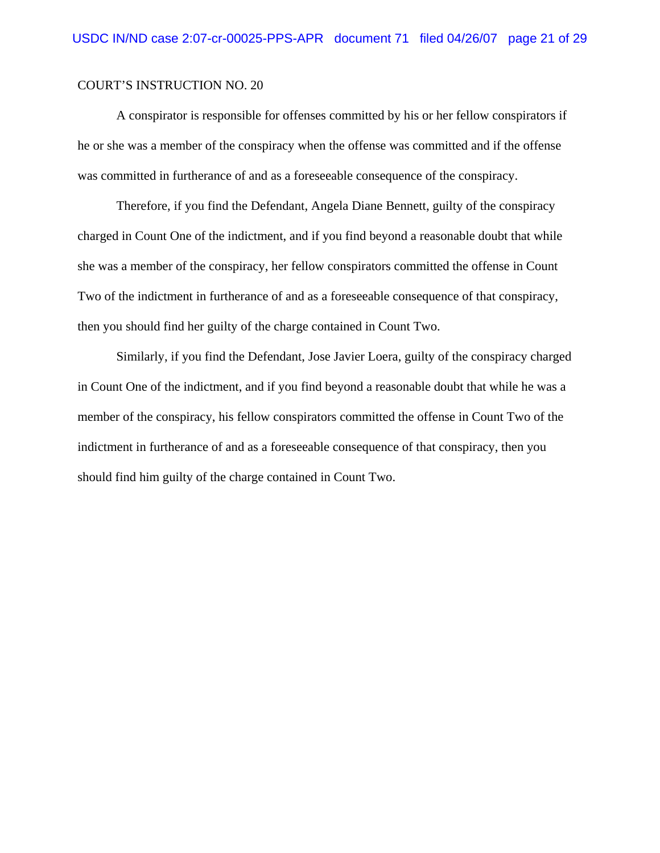A conspirator is responsible for offenses committed by his or her fellow conspirators if he or she was a member of the conspiracy when the offense was committed and if the offense was committed in furtherance of and as a foreseeable consequence of the conspiracy.

Therefore, if you find the Defendant, Angela Diane Bennett, guilty of the conspiracy charged in Count One of the indictment, and if you find beyond a reasonable doubt that while she was a member of the conspiracy, her fellow conspirators committed the offense in Count Two of the indictment in furtherance of and as a foreseeable consequence of that conspiracy, then you should find her guilty of the charge contained in Count Two.

Similarly, if you find the Defendant, Jose Javier Loera, guilty of the conspiracy charged in Count One of the indictment, and if you find beyond a reasonable doubt that while he was a member of the conspiracy, his fellow conspirators committed the offense in Count Two of the indictment in furtherance of and as a foreseeable consequence of that conspiracy, then you should find him guilty of the charge contained in Count Two.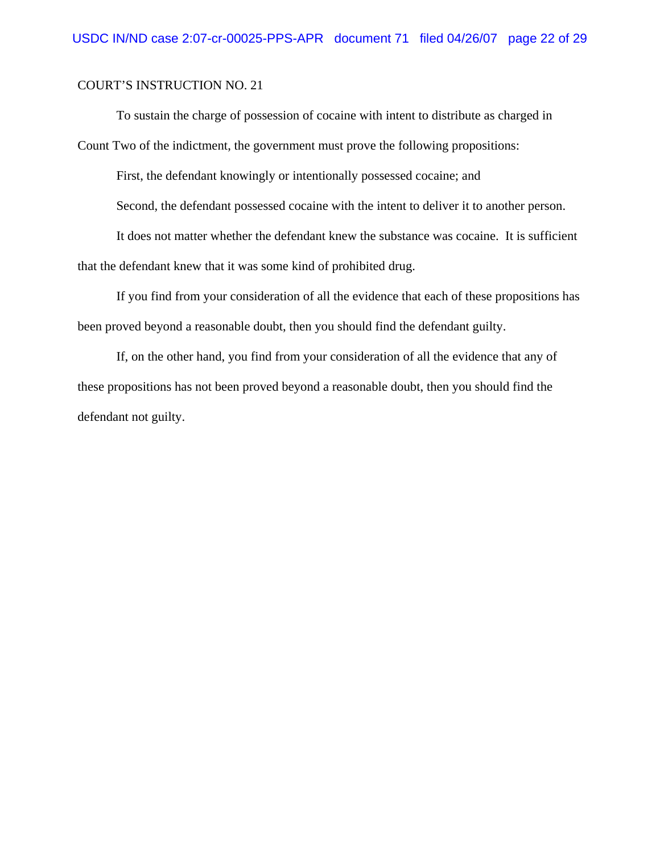To sustain the charge of possession of cocaine with intent to distribute as charged in

Count Two of the indictment, the government must prove the following propositions:

First, the defendant knowingly or intentionally possessed cocaine; and

Second, the defendant possessed cocaine with the intent to deliver it to another person.

It does not matter whether the defendant knew the substance was cocaine. It is sufficient that the defendant knew that it was some kind of prohibited drug.

If you find from your consideration of all the evidence that each of these propositions has been proved beyond a reasonable doubt, then you should find the defendant guilty.

If, on the other hand, you find from your consideration of all the evidence that any of these propositions has not been proved beyond a reasonable doubt, then you should find the defendant not guilty.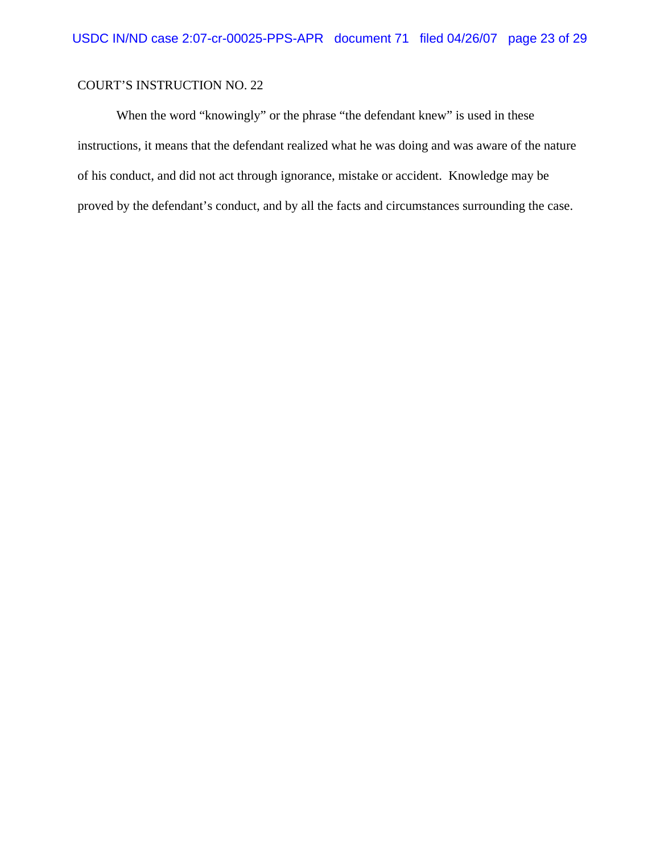When the word "knowingly" or the phrase "the defendant knew" is used in these instructions, it means that the defendant realized what he was doing and was aware of the nature of his conduct, and did not act through ignorance, mistake or accident. Knowledge may be proved by the defendant's conduct, and by all the facts and circumstances surrounding the case.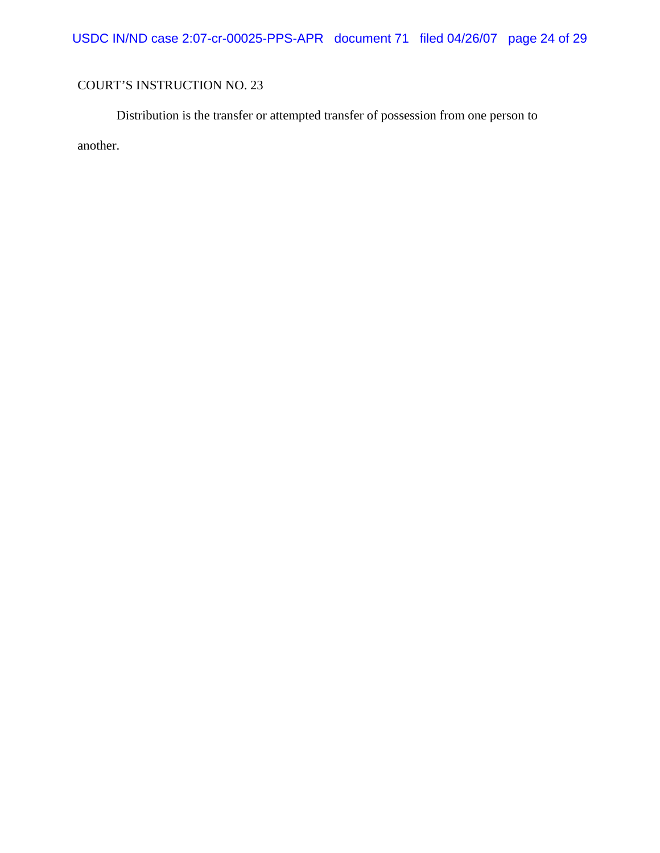USDC IN/ND case 2:07-cr-00025-PPS-APR document 71 filed 04/26/07 page 24 of 29

# COURT'S INSTRUCTION NO. 23

Distribution is the transfer or attempted transfer of possession from one person to another.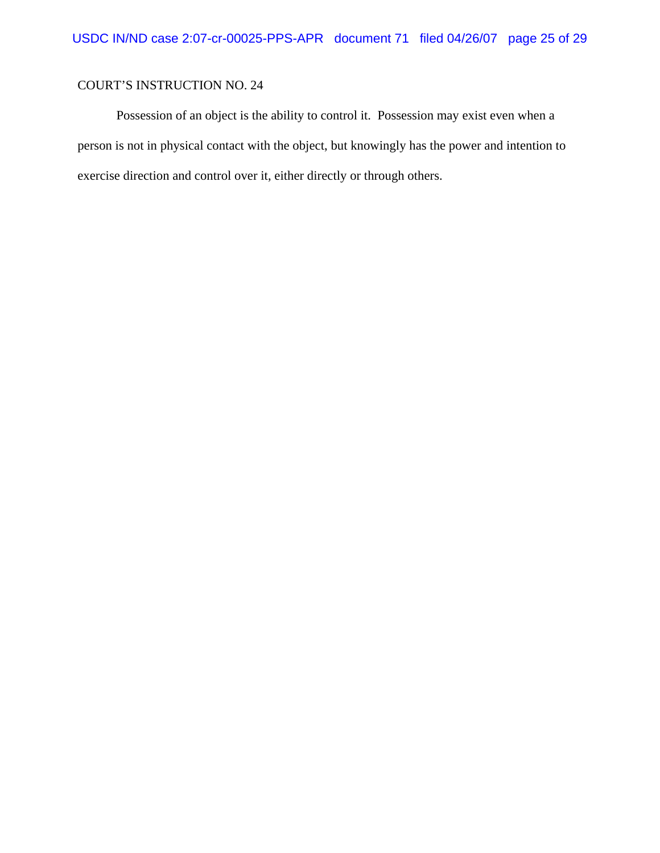Possession of an object is the ability to control it. Possession may exist even when a person is not in physical contact with the object, but knowingly has the power and intention to exercise direction and control over it, either directly or through others.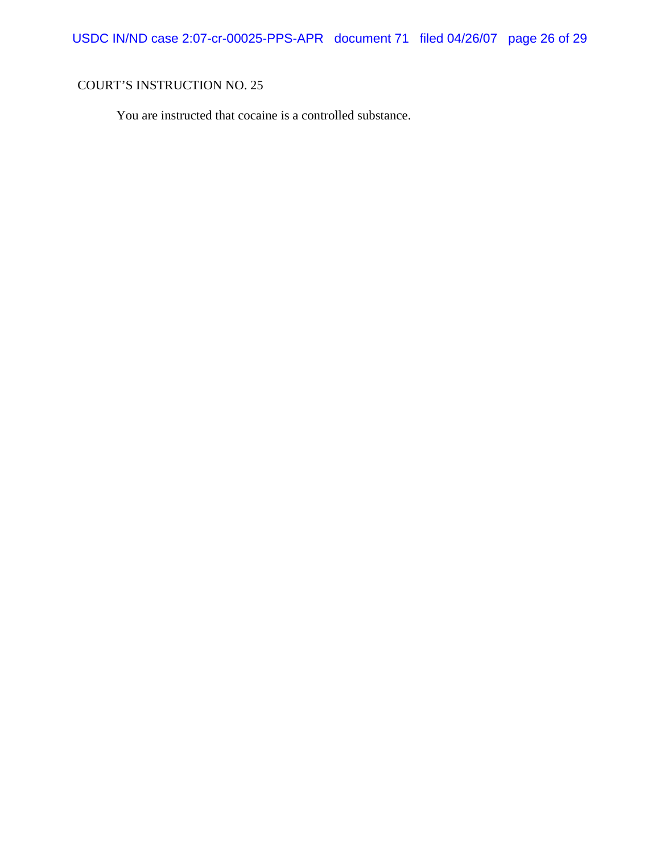USDC IN/ND case 2:07-cr-00025-PPS-APR document 71 filed 04/26/07 page 26 of 29

# COURT'S INSTRUCTION NO. 25

You are instructed that cocaine is a controlled substance.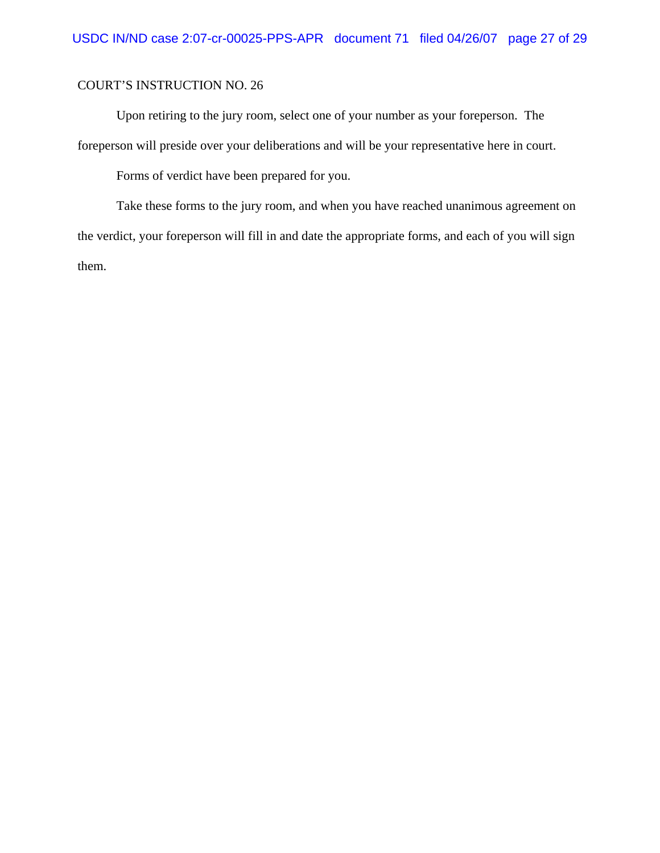Upon retiring to the jury room, select one of your number as your foreperson. The foreperson will preside over your deliberations and will be your representative here in court.

Forms of verdict have been prepared for you.

Take these forms to the jury room, and when you have reached unanimous agreement on the verdict, your foreperson will fill in and date the appropriate forms, and each of you will sign them.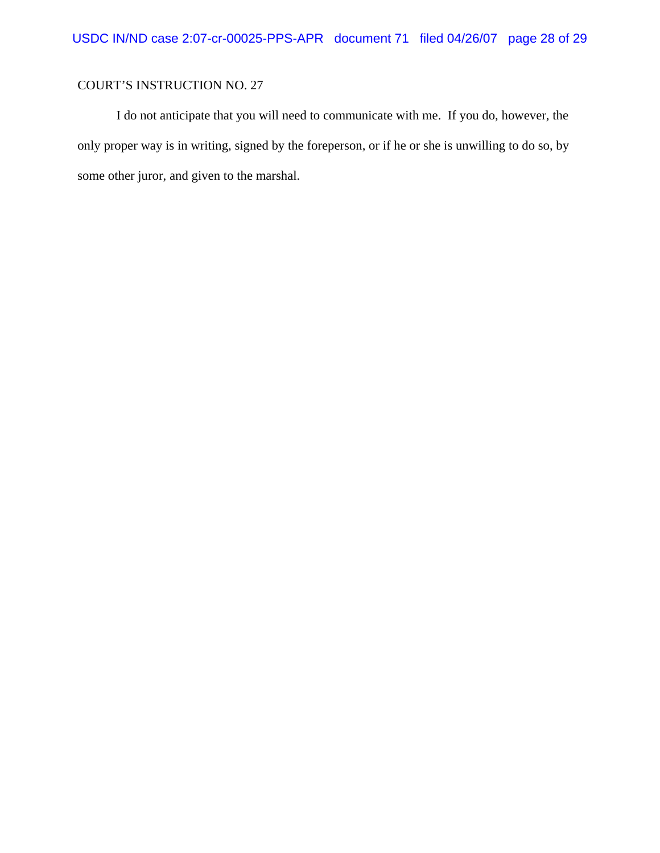I do not anticipate that you will need to communicate with me. If you do, however, the only proper way is in writing, signed by the foreperson, or if he or she is unwilling to do so, by some other juror, and given to the marshal.